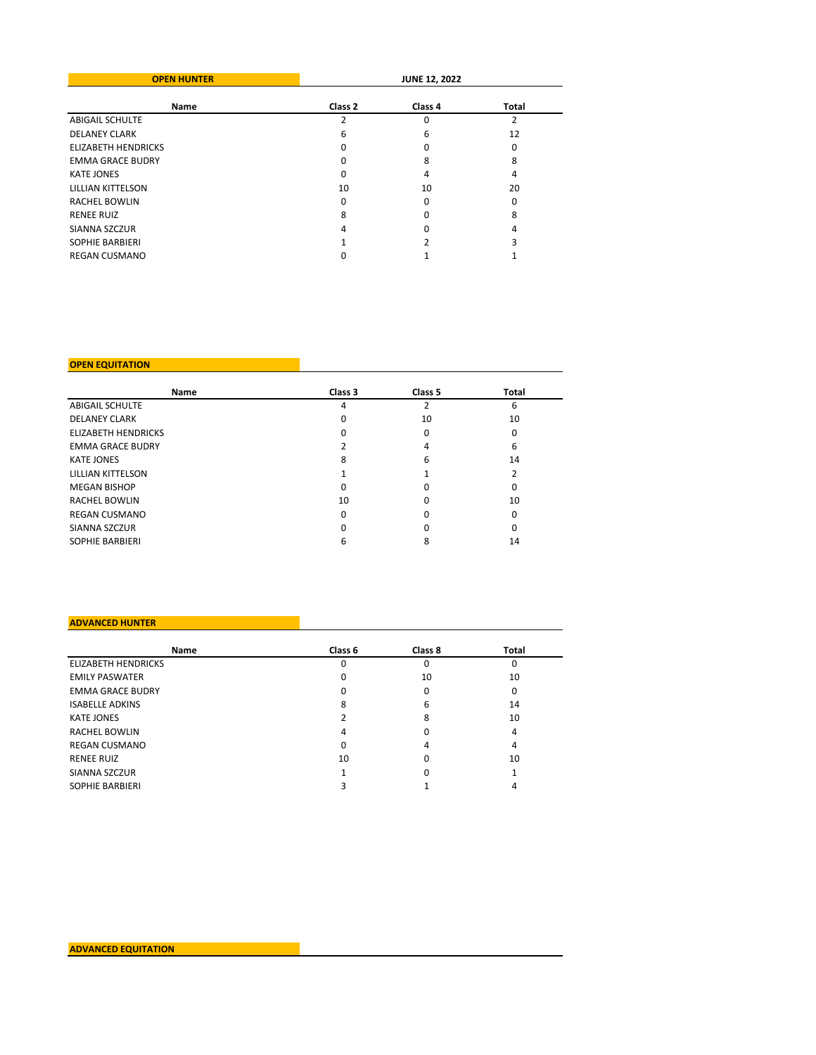| <b>OPEN HUNTER</b>         | <b>JUNE 12, 2022</b> |         |       |  |
|----------------------------|----------------------|---------|-------|--|
| <b>Name</b>                | Class <sub>2</sub>   | Class 4 | Total |  |
| <b>ABIGAIL SCHULTE</b>     |                      | 0       | 2     |  |
| <b>DELANEY CLARK</b>       | 6                    | 6       | 12    |  |
| <b>ELIZABETH HENDRICKS</b> |                      |         | 0     |  |
| <b>EMMA GRACE BUDRY</b>    |                      | 8       | 8     |  |
| <b>KATE JONES</b>          | ŋ                    | 4       | 4     |  |
| LILLIAN KITTELSON          | 10                   | 10      | 20    |  |
| <b>RACHEL BOWLIN</b>       | ŋ                    | 0       | O     |  |
| <b>RENEE RUIZ</b>          | 8                    | O       | 8     |  |
| SIANNA SZCZUR              | 4                    |         | 4     |  |
| <b>SOPHIE BARBIERI</b>     |                      |         |       |  |
| <b>REGAN CUSMANO</b>       |                      |         |       |  |

### **OPEN EQUITATION**

| Name                       | Class 3 | Class 5 | Total |
|----------------------------|---------|---------|-------|
| <b>ABIGAIL SCHULTE</b>     | 4       | 2       | 6     |
| <b>DELANEY CLARK</b>       | 0       | 10      | 10    |
| <b>ELIZABETH HENDRICKS</b> | n       | 0       | 0     |
| <b>EMMA GRACE BUDRY</b>    |         | 4       | 6     |
| <b>KATE JONES</b>          | 8       | 6       | 14    |
| LILLIAN KITTELSON          |         |         |       |
| <b>MEGAN BISHOP</b>        | O       |         | 0     |
| <b>RACHEL BOWLIN</b>       | 10      |         | 10    |
| <b>REGAN CUSMANO</b>       | 0       |         | 0     |
| SIANNA SZCZUR              |         |         | 0     |
| <b>SOPHIE BARBIERI</b>     | h       | 8       | 14    |

## **ADVANCED HUNTER**

| Name                       | Class 6 | Class 8 | Total |
|----------------------------|---------|---------|-------|
| <b>ELIZABETH HENDRICKS</b> | 0       | 0       | 0     |
| <b>EMILY PASWATER</b>      | 0       | 10      | 10    |
| <b>EMMA GRACE BUDRY</b>    | O       | 0       | 0     |
| <b>ISABELLE ADKINS</b>     | 8       | 6       | 14    |
| <b>KATE JONES</b>          |         | 8       | 10    |
| <b>RACHEL BOWLIN</b>       | 4       | 0       | 4     |
| <b>REGAN CUSMANO</b>       | 0       | 4       | 4     |
| <b>RENEE RUIZ</b>          | 10      | 0       | 10    |
| SIANNA SZCZUR              |         | 0       |       |
| <b>SOPHIE BARBIERI</b>     |         |         | 4     |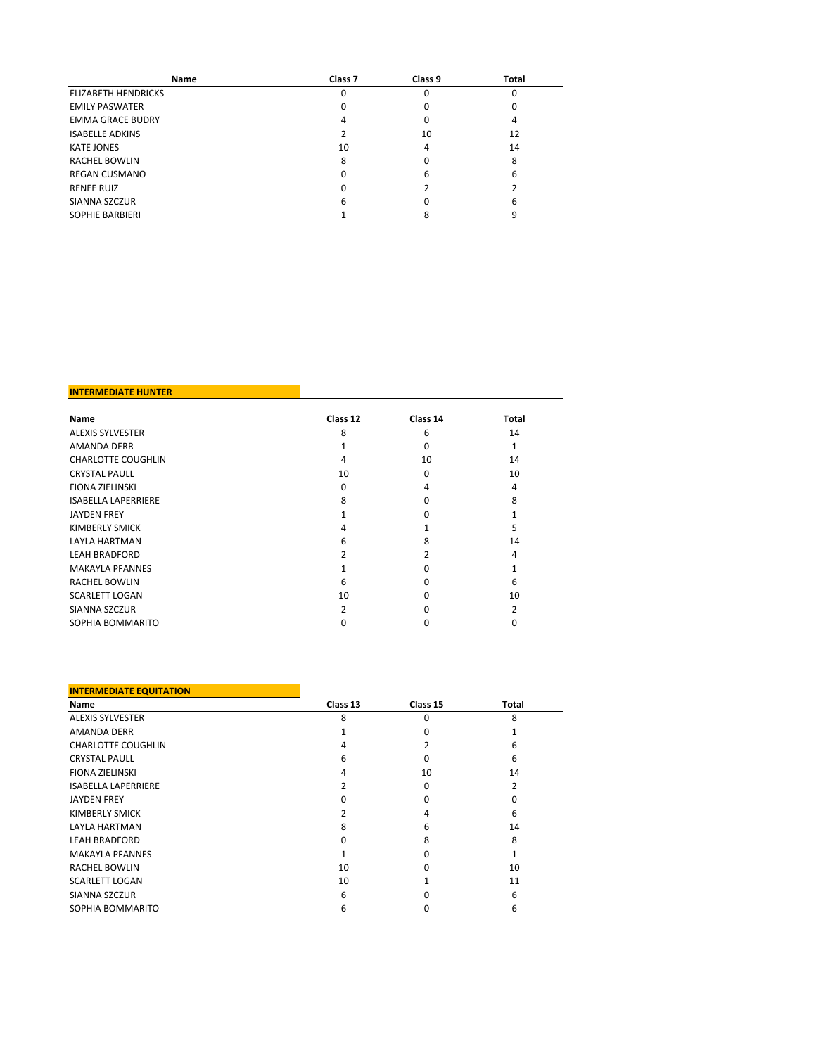| Name                       | Class <sub>7</sub> | Class 9 | Total |
|----------------------------|--------------------|---------|-------|
| <b>ELIZABETH HENDRICKS</b> |                    | O       | 0     |
| <b>EMILY PASWATER</b>      |                    |         | 0     |
| <b>EMMA GRACE BUDRY</b>    |                    | 0       | 4     |
| <b>ISABELLE ADKINS</b>     |                    | 10      | 12    |
| <b>KATE JONES</b>          | 10                 | 4       | 14    |
| <b>RACHEL BOWLIN</b>       | 8                  |         | 8     |
| <b>REGAN CUSMANO</b>       |                    | 6       | 6     |
| <b>RENEE RUIZ</b>          | n                  |         |       |
| SIANNA SZCZUR              | 6                  |         | 6     |
| <b>SOPHIE BARBIERI</b>     |                    |         | 9     |

### **INTERMEDIATE HUNTER**

| Name                       | Class 12 | Class 14 | Total |
|----------------------------|----------|----------|-------|
| <b>ALEXIS SYLVESTER</b>    | 8        | 6        | 14    |
| <b>AMANDA DERR</b>         |          | 0        |       |
| <b>CHARLOTTE COUGHLIN</b>  | 4        | 10       | 14    |
| <b>CRYSTAL PAULL</b>       | 10       | 0        | 10    |
| <b>FIONA ZIELINSKI</b>     | O        | 4        | 4     |
| <b>ISABELLA LAPERRIERE</b> | 8        | O        | 8     |
| <b>JAYDEN FREY</b>         |          | $\Omega$ |       |
| <b>KIMBERLY SMICK</b>      | 4        |          | 5     |
| <b>LAYLA HARTMAN</b>       | 6        | 8        | 14    |
| <b>LEAH BRADFORD</b>       |          |          | 4     |
| <b>MAKAYLA PFANNES</b>     |          | U        |       |
| <b>RACHEL BOWLIN</b>       | 6        | n        | 6     |
| <b>SCARLETT LOGAN</b>      | 10       | n        | 10    |
| SIANNA SZCZUR              | 2        | n        | 2     |
| SOPHIA BOMMARITO           |          |          |       |

| <b>INTERMEDIATE EQUITATION</b> |          |          |                |
|--------------------------------|----------|----------|----------------|
| Name                           | Class 13 | Class 15 | Total          |
| <b>ALEXIS SYLVESTER</b>        | 8        | 0        | 8              |
| <b>AMANDA DERR</b>             |          | ŋ        |                |
| <b>CHARLOTTE COUGHLIN</b>      | 4        |          | 6              |
| <b>CRYSTAL PAULL</b>           | 6        | 0        | 6              |
| <b>FIONA ZIELINSKI</b>         | 4        | 10       | 14             |
| <b>ISABELLA LAPERRIERE</b>     |          | 0        | $\overline{2}$ |
| <b>JAYDEN FREY</b>             | O        | 0        | 0              |
| KIMBERLY SMICK                 |          | 4        | 6              |
| <b>LAYLA HARTMAN</b>           | 8        | 6        | 14             |
| <b>LEAH BRADFORD</b>           |          | 8        | 8              |
| <b>MAKAYLA PFANNES</b>         |          | ŋ        |                |
| <b>RACHEL BOWLIN</b>           | 10       | O        | 10             |
| <b>SCARLETT LOGAN</b>          | 10       |          | 11             |
| SIANNA SZCZUR                  | 6        |          | 6              |
| SOPHIA BOMMARITO               | 6        | 0        | 6              |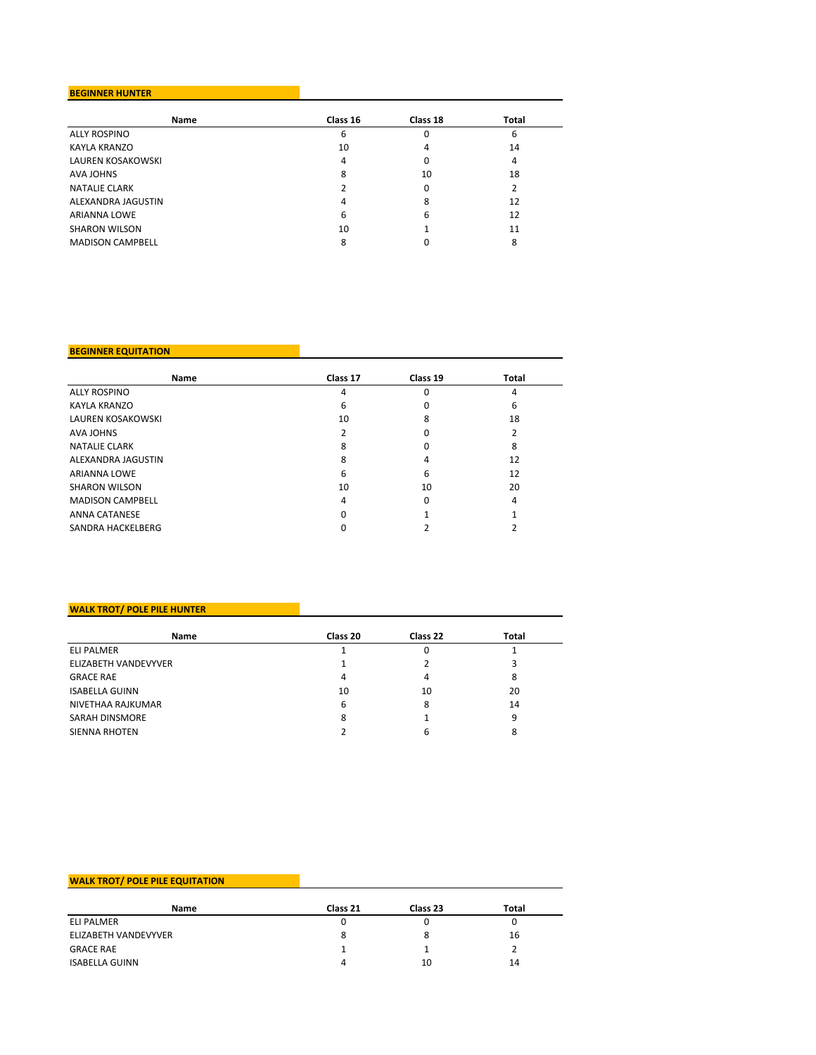## **BEGINNER HUNTER**

| Name                    | Class 16 | Class 18 | Total |
|-------------------------|----------|----------|-------|
| <b>ALLY ROSPINO</b>     | 6        | 0        | 6     |
| KAYLA KRANZO            | 10       | 4        | 14    |
| LAUREN KOSAKOWSKI       | 4        | 0        | 4     |
| <b>AVA JOHNS</b>        | 8        | 10       | 18    |
| <b>NATALIE CLARK</b>    |          | 0        |       |
| ALEXANDRA JAGUSTIN      | 4        | 8        | 12    |
| <b>ARIANNA LOWE</b>     | 6        | 6        | 12    |
| <b>SHARON WILSON</b>    | 10       |          | 11    |
| <b>MADISON CAMPBELL</b> | 8        |          | 8     |

### **BEGINNER EQUITATION**

| Name                    | Class 17 | Class 19 | Total |
|-------------------------|----------|----------|-------|
| <b>ALLY ROSPINO</b>     | 4        | 0        | 4     |
| KAYLA KRANZO            | 6        | 0        | 6     |
| LAUREN KOSAKOWSKI       | 10       | 8        | 18    |
| <b>AVA JOHNS</b>        |          | 0        |       |
| <b>NATALIE CLARK</b>    | 8        | 0        | 8     |
| ALEXANDRA JAGUSTIN      | 8        | 4        | 12    |
| <b>ARIANNA LOWE</b>     | 6        | 6        | 12    |
| <b>SHARON WILSON</b>    | 10       | 10       | 20    |
| <b>MADISON CAMPBELL</b> | 4        | 0        | 4     |
| <b>ANNA CATANESE</b>    | 0        |          |       |
| SANDRA HACKELBERG       |          |          |       |

## **WALK TROT/ POLE PILE HUNTER**

| Name                  | Class 20 | Class 22 | Total |
|-----------------------|----------|----------|-------|
| <b>ELI PALMER</b>     |          | 0        |       |
| ELIZABETH VANDEVYVER  |          |          |       |
| <b>GRACE RAE</b>      | 4        | 4        | 8     |
| <b>ISABELLA GUINN</b> | 10       | 10       | 20    |
| NIVETHAA RAJKUMAR     | 6        | 8        | 14    |
| <b>SARAH DINSMORE</b> | 8        |          | q     |
| <b>SIENNA RHOTEN</b>  |          | 6        |       |

# **WALK TROT/ POLE PILE EQUITATION**

| Name                  | Class 21 | Class 23 | Total |
|-----------------------|----------|----------|-------|
| <b>ELI PALMER</b>     |          | U        |       |
| ELIZABETH VANDEVYVER  | 8        | 8        | 16    |
| <b>GRACE RAE</b>      |          |          |       |
| <b>ISABELLA GUINN</b> | Δ        | 10       | 14    |